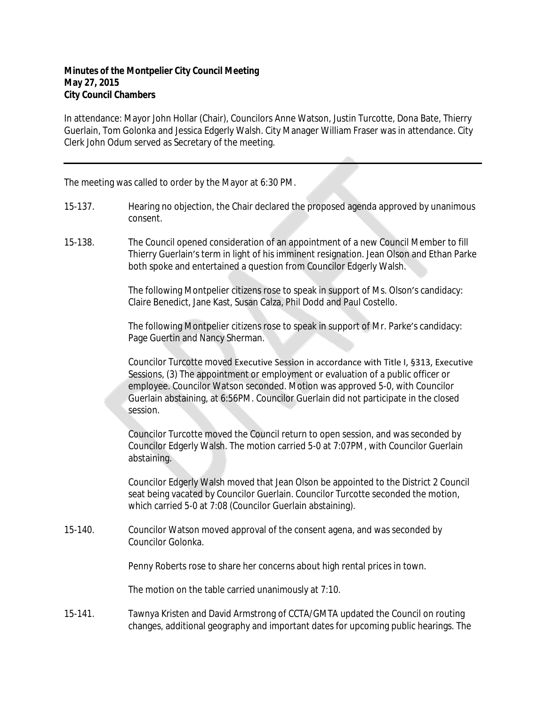In attendance: Mayor John Hollar (Chair), Councilors Anne Watson, Justin Turcotte, Dona Bate, Thierry Guerlain, Tom Golonka and Jessica Edgerly Walsh. City Manager William Fraser was in attendance. City Clerk John Odum served as Secretary of the meeting.

The meeting was called to order by the Mayor at 6:30 PM.

- 15-137. Hearing no objection, the Chair declared the proposed agenda approved by unanimous consent.
- 15-138. The Council opened consideration of an appointment of a new Council Member to fill Thierry Guerlain's term in light of his imminent resignation. Jean Olson and Ethan Parke both spoke and entertained a question from Councilor Edgerly Walsh.

The following Montpelier citizens rose to speak in support of Ms. Olson's candidacy: Claire Benedict, Jane Kast, Susan Calza, Phil Dodd and Paul Costello.

The following Montpelier citizens rose to speak in support of Mr. Parke's candidacy: Page Guertin and Nancy Sherman.

Councilor Turcotte moved Executive Session in accordance with Title I, §313, Executive Sessions, (3) The appointment or employment or evaluation of a public officer or employee. Councilor Watson seconded. Motion was approved 5-0, with Councilor Guerlain abstaining, at 6:56PM. Councilor Guerlain did not participate in the closed session.

Councilor Turcotte moved the Council return to open session, and was seconded by Councilor Edgerly Walsh. The motion carried 5-0 at 7:07PM, with Councilor Guerlain abstaining.

Councilor Edgerly Walsh moved that Jean Olson be appointed to the District 2 Council seat being vacated by Councilor Guerlain. Councilor Turcotte seconded the motion, which carried 5-0 at 7:08 (Councilor Guerlain abstaining).

15-140. Councilor Watson moved approval of the consent agena, and was seconded by Councilor Golonka.

Penny Roberts rose to share her concerns about high rental prices in town.

The motion on the table carried unanimously at 7:10.

15-141. Tawnya Kristen and David Armstrong of CCTA/GMTA updated the Council on routing changes, additional geography and important dates for upcoming public hearings. The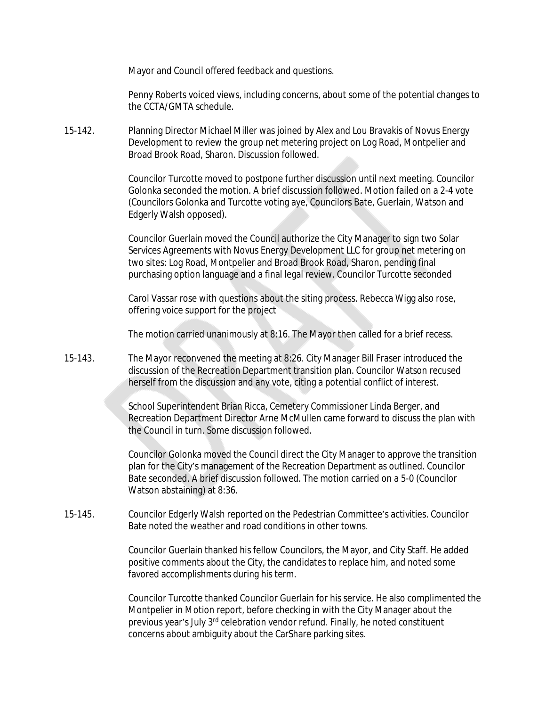Mayor and Council offered feedback and questions.

Penny Roberts voiced views, including concerns, about some of the potential changes to the CCTA/GMTA schedule.

15-142. Planning Director Michael Miller was joined by Alex and Lou Bravakis of Novus Energy Development to review the group net metering project on Log Road, Montpelier and Broad Brook Road, Sharon. Discussion followed.

> Councilor Turcotte moved to postpone further discussion until next meeting. Councilor Golonka seconded the motion. A brief discussion followed. Motion failed on a 2-4 vote (Councilors Golonka and Turcotte voting aye, Councilors Bate, Guerlain, Watson and Edgerly Walsh opposed).

Councilor Guerlain moved the Council authorize the City Manager to sign two Solar Services Agreements with Novus Energy Development LLC for group net metering on two sites: Log Road, Montpelier and Broad Brook Road, Sharon, pending final purchasing option language and a final legal review. Councilor Turcotte seconded

Carol Vassar rose with questions about the siting process. Rebecca Wigg also rose, offering voice support for the project

The motion carried unanimously at 8:16. The Mayor then called for a brief recess.

15-143. The Mayor reconvened the meeting at 8:26. City Manager Bill Fraser introduced the discussion of the Recreation Department transition plan. Councilor Watson recused herself from the discussion and any vote, citing a potential conflict of interest.

> School Superintendent Brian Ricca, Cemetery Commissioner Linda Berger, and Recreation Department Director Arne McMullen came forward to discuss the plan with the Council in turn. Some discussion followed.

> Councilor Golonka moved the Council direct the City Manager to approve the transition plan for the City's management of the Recreation Department as outlined. Councilor Bate seconded. A brief discussion followed. The motion carried on a 5-0 (Councilor Watson abstaining) at 8:36.

15-145. Councilor Edgerly Walsh reported on the Pedestrian Committee's activities. Councilor Bate noted the weather and road conditions in other towns.

> Councilor Guerlain thanked his fellow Councilors, the Mayor, and City Staff. He added positive comments about the City, the candidates to replace him, and noted some favored accomplishments during his term.

Councilor Turcotte thanked Councilor Guerlain for his service. He also complimented the Montpelier in Motion report, before checking in with the City Manager about the previous year's July 3<sup>rd</sup> celebration vendor refund. Finally, he noted constituent concerns about ambiguity about the CarShare parking sites.